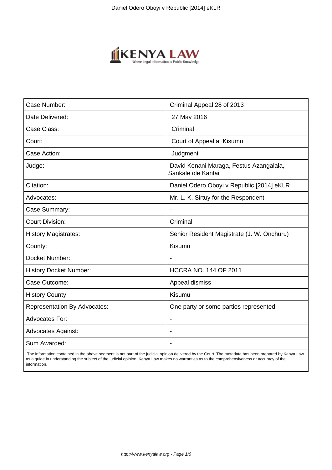

| Case Number:                        | Criminal Appeal 28 of 2013                                    |
|-------------------------------------|---------------------------------------------------------------|
| Date Delivered:                     | 27 May 2016                                                   |
| Case Class:                         | Criminal                                                      |
| Court:                              | Court of Appeal at Kisumu                                     |
| Case Action:                        | Judgment                                                      |
| Judge:                              | David Kenani Maraga, Festus Azangalala,<br>Sankale ole Kantai |
| Citation:                           | Daniel Odero Oboyi v Republic [2014] eKLR                     |
| Advocates:                          | Mr. L. K. Sirtuy for the Respondent                           |
| Case Summary:                       |                                                               |
| <b>Court Division:</b>              | Criminal                                                      |
| <b>History Magistrates:</b>         | Senior Resident Magistrate (J. W. Onchuru)                    |
| County:                             | Kisumu                                                        |
| Docket Number:                      |                                                               |
| <b>History Docket Number:</b>       | <b>HCCRA NO. 144 OF 2011</b>                                  |
| Case Outcome:                       | Appeal dismiss                                                |
| <b>History County:</b>              | Kisumu                                                        |
| <b>Representation By Advocates:</b> | One party or some parties represented                         |
| <b>Advocates For:</b>               |                                                               |
| <b>Advocates Against:</b>           |                                                               |
| Sum Awarded:                        |                                                               |

 The information contained in the above segment is not part of the judicial opinion delivered by the Court. The metadata has been prepared by Kenya Law as a guide in understanding the subject of the judicial opinion. Kenya Law makes no warranties as to the comprehensiveness or accuracy of the information.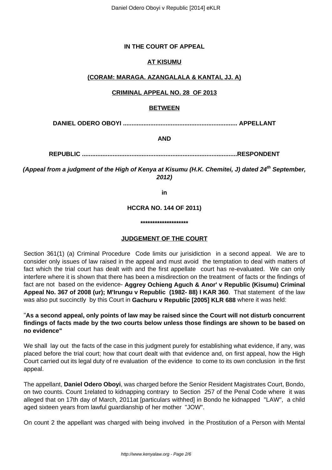## **IN THE COURT OF APPEAL**

# **AT KISUMU**

## **(CORAM: MARAGA. AZANGALALA & KANTAI, JJ. A)**

## **CRIMINAL APPEAL NO. 28 OF 2013**

### **BETWEEN**

**DANIEL ODERO OBOYI ................................................................... APPELLANT**

**AND**

**REPUBLIC ...........................................................................................RESPONDENT**

**(Appeal from a judgment of the High of Kenya at Kisumu (H.K. Chemitei, J) dated 24th September, 2012)**

**in**

**HCCRA NO. 144 OF 2011)**

**\*\*\*\*\*\*\*\*\*\*\*\*\*\*\*\*\*\*\*\***

## **JUDGEMENT OF THE COURT**

Section 361(1) (a) Criminal Procedure Code limits our jurisidiction in a second appeal. We are to consider only issues of law raised in the appeal and must avoid the temptation to deal with matters of fact which the trial court has dealt with and the first appellate court has re-evaluated. We can only interfere where it is shown that there has been a misdirection on the treatment of facts or the findings of fact are not based on the evidence- **Aggrey Ochieng Aguch & Anor' v Republic (Kisumu) Criminal Appeal No. 367 of 2008 (ur); M'Irungu v Republic (1982- 88) I KAR 360**. That statement of the law was also put succinctly by this Court in **Gachuru v Republic [2005] KLR 688** where it was held:

### "**As a second appeal, only points of law may be raised since the Court will not disturb concurrent findings of facts made by the two courts below unless those findings are shown to be based on no evidence"**

We shall lay out the facts of the case in this judgment purely for establishing what evidence, if any, was placed before the trial court; how that court dealt with that evidence and, on first appeal, how the High Court carried out its legal duty of re evaluation of the evidence to come to its own conclusion in the first appeal.

The appellant, **Daniel Odero Oboyi**, was charged before the Senior Resident Magistrates Court, Bondo, on two counts. Count 1related to kidnapping contrary to Section 257 of the Penal Code where it was alleged that on 17th day of March, 2011at [particulars withhed] in Bondo he kidnapped "LAW", a child aged sixteen years from lawful guardianship of her mother "JOW".

On count 2 the appellant was charged with being involved in the Prostitution of a Person with Mental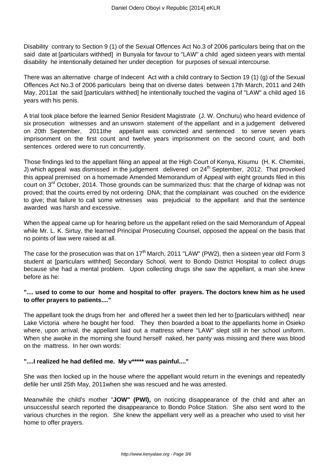Disability contrary to Section 9 (1) of the Sexual Offences Act No.3 of 2006 particulars being that on the said date at [particulars withhed] in Bunyala for favour to "LAW" a child aged sixteen years with mental disability he intentionally detained her under deception for purposes of sexual intercourse.

There was an alternative charge of Indecent Act with a child contrary to Section 19 (1) (g) of the Sexual Offences Act No.3 of 2006 particulars being that on diverse dates between 17th March, 2011 and 24th May, 2011at the said [particulars withhed] he intentionally touched the vagina of "LAW" a child aged 16 years with his penis.

A trial took place before the learned Senior Resident Magistrate (J. W. Onchuru) who heard evidence of six prosecution witnesses and an unsworn statement of the appellant and in a judgement delivered on 20th September, 2011the appellant was convicted and sentenced to serve seven years imprisonment on the first count and twelve years imprisonment on the second count, and both sentences ordered were to run concurrently.

Those findings led to the appellant filing an appeal at the High Court of Kenya, Kisumu (H. K. Chemitei, J) which appeal was dismissed in the judgement delivered on 24<sup>th</sup> September, 2012. That provoked this appeal premised on a homemade Amended Memorandum of Appeal with eight grounds filed in this court on 3<sup>rd</sup> October, 2014. Those grounds can be summarized thus: that the charge of kidnap was not proved; that the courts erred by not ordering DNA; that the complainant was couched on the evidence to give; that failure to call some witnesses was prejudicial to the appellant and that the sentence awarded was harsh and excessive.

When the appeal came up for hearing before us the appellant relied on the said Memorandum of Appeal while Mr. L. K. Sirtuy, the learned Principal Prosecuting Counsel, opposed the appeal on the basis that no points of law were raised at all.

The case for the prosecution was that on  $17<sup>th</sup>$  March, 2011 "LAW" (PW2), then a sixteen year old Form 3 student at [particulars withhed] Secondary School, went to Bondo District Hospital to collect drugs because she had a mental problem. Upon collecting drugs she saw the appellant, a man she knew before as he:

## **".... used to come to our home and hospital to offer prayers. The doctors knew him as he used to offer prayers to patients...."**

The appellant took the drugs from her and offered her a sweet then led her to [particulars withhed] near Lake Victoria where he bought her food. They then boarded a boat to the appellants home in Osieko where, upon arrival, the appellant laid out a mattress where "LAW" slept still in her school uniform. When she awoke in the morning she found herself naked, her panty was missing and there was blood on the mattress. In her own words:

### **"....I realized he had defiled me. My v\*\*\*\*\* was painful...."**

She was then locked up in the house where the appellant would return in the evenings and repeatedly defile her until 25th May, 2011when she was rescued and he was arrested.

Meanwhile the child's mother "**JOW" (PWl),** on noticing disappearance of the child and after an unsuccessful search reported the disappearance to Bondo Police Station. She also sent word to the various churches in the region. She knew the appellant very well as a preacher who used to visit her home to offer prayers.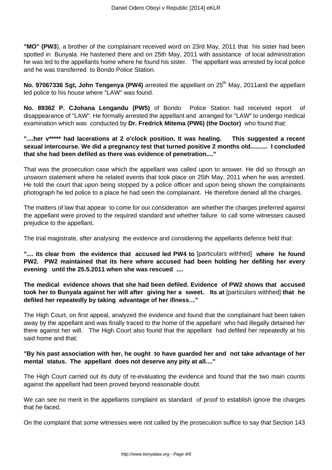**"MO" (PW3**), a brother of the complainant received word on 23rd May, 2011 that his sister had been spotted in Bunyala. He hastened there and on 25th May, 2011 with assistance of local administration he was led to the appellants home where he found his sister. The appellant was arrested by local police and he was transferred to Bondo Police Station.

No. 97067336 Sgt, John Tengenya (PW4) arrested the appellant on 25<sup>th</sup> May, 2011and the appellant led police to his house where "LAW" was found.

**No. 89362 P. CJohana Lengandu (PW5)** of Bondo Police Station had received report of disappearance of "LAW". He formally arrested the appellant and arranged for "LAW" to undergo medical examination which was conducted by **Dr. Fredrick Mitema (PW6) (the Doctor)** who found that:

**"....her v\*\*\*\*\* had lacerations at 2 o'clock position. It was healing. This suggested a recent sexual intercourse. We did a pregnancy test that turned positive 2 months old.......... I concluded that she had been defiled as there was evidence of penetration...."**

That was the prosecution case which the appellant was called upon to answer. He did so through an unsworn statement where he related events that took place on 25th May, 2011 when he was arrested. He told the court that upon being stopped by a police officer and upon being shown the complainants photograph he led police to a place he had seen the complainant. He therefore denied all the charges.

The matters of law that appear to come for our consideration are whether the charges preferred against the appellant were proved to the required standard and whether failure to call some witnesses caused prejudice to the appellant.

The trial magistrate, after analysing the evidence and considering the appellants defence held that:

**".... its clear from the evidence that accused led PW4 to** [particulars withhed] **where he found PW2. PW2 maintained that its here where accused had been holding her defiling her every evening until the 25.5.2011 when she was rescued ....**

**The medical evidence shows that she had been defiled. Evidence of PW2 shows that accused took her to Bunyala against her will after giving her a sweet. Its at** [particulars withhed] **that he defiled her repeatedly by taking advantage of her illness…"**

The High Court, on first appeal, analyzed the evidence and found that the complainant had been taken away by the appellant and was finally traced to the home of the appellant who had illegally detained her there against her will. The High Court also found that the appellant had defiled her repeatedly at his said home and that:

### **"By his past association with her, he ought to have guarded her and not take advantage of her mental status. The appellant does not deserve any pity at all...."**

The High Court carried out its duty of re-evaluating the evidence and found that the two main counts against the appellant had been proved beyond reasonable doubt.

We can see no merit in the appellants complaint as standard of proof to establish ignore the charges that he faced.

On the complaint that some witnesses were not called by the prosecution suffice to say that Section 143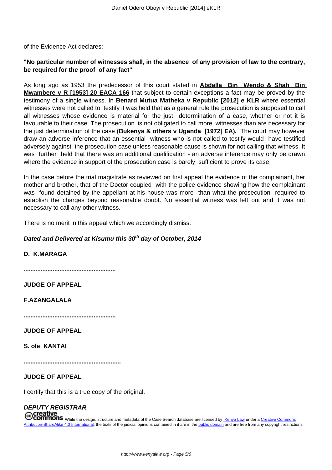of the Evidence Act declares:

## **"No particular number of witnesses shall, in the absence of any provision of law to the contrary, be required for the proof of any fact"**

As long ago as 1953 the predecessor of this court stated in **Abdalla Bin Wendo & Shah Bin Mwambere v R [1953] 20 EACA 166** that subject to certain exceptions a fact may be proved by the testimony of a single witness. In **Benard Mutua Matheka v Republic [2012] e KLR** where essential witnesses were not called to testify it was held that as a general rule the prosecution is supposed to call all witnesses whose evidence is material for the just determination of a case, whether or not it is favourable to their case. The prosecution is not obligated to call more witnesses than are necessary for the just determination of the case **(Bukenya & others v Uganda [1972] EA).** The court may however draw an adverse inference that an essential witness who is not called to testify would have testified adversely against the prosecution case unless reasonable cause is shown for not calling that witness. It was further held that there was an additional qualification - an adverse inference may only be drawn where the evidence in support of the prosecution case is barely sufficient to prove its case.

In the case before the trial magistrate as reviewed on first appeal the evidence of the complainant, her mother and brother, that of the Doctor coupled with the police evidence showing how the complainant was found detained by the appellant at his house was more than what the prosecution required to establish the charges beyond reasonable doubt. No essential witness was left out and it was not necessary to call any other witness.

There is no merit in this appeal which we accordingly dismiss.

### **Dated and Delivered at Kisumu this 30th day of October, 2014**

### **D. K.MARAGA**

**......................................................**

**JUDGE OF APPEAL**

**F.AZANGALALA**

**......................................................**

**JUDGE OF APPEAL**

**S. ole KANTAI**

**.........................................................**

**JUDGE OF APPEAL**

I certify that this is a true copy of the original.

#### **DEPUTY REGISTRAR** reative:

COMMONS While the design, structure and metadata of the Case Search database are licensed by Kenya Law under a Creative Commons Attribution-ShareAlike 4.0 International, the texts of the judicial opinions contained in it are in the public domain and are free from any copyright restrictions.